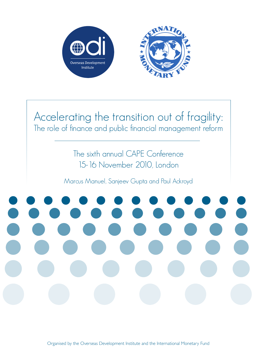

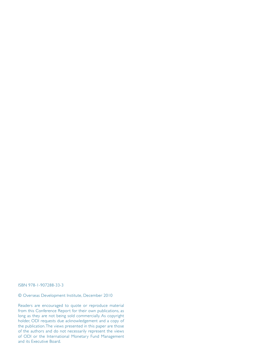ISBN 978-1-907288-33-3

# © Overseas Development Institute, December 2010

Readers are encouraged to quote or reproduce material from this Conference Report for their own publications, as long as they are not being sold commercially. As copyright holder, ODI requests due acknowledgement and a copy of the publication. The views presented in this paper are those of the authors and do not necessarily represent the views of ODI or the International Monetary Fund Management and its Executive Board.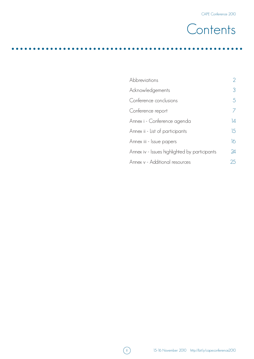

| Abbreviations                                 | $\overline{2}$  |
|-----------------------------------------------|-----------------|
| Acknowledgements                              | 3               |
| Conference conclusions                        | 5               |
| Conference report                             | 7               |
| Annex i - Conference agenda                   | $\overline{14}$ |
| Annex ii - List of participants               | 15              |
| Annex iii - Issue papers                      | 16              |
| Annex iv - Issues highlighted by participants | 24              |
| Annex v - Additional resources                | 25              |

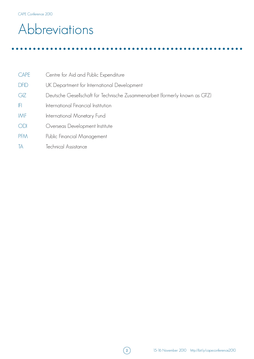# Abbreviations

| CAPE         | Centre for Aid and Public Expenditure                                       |
|--------------|-----------------------------------------------------------------------------|
| <b>DFID</b>  | UK Department for International Development                                 |
| GIZ          | Deutsche Gesellschaft für Technische Zusammenarbeit (formerly known as GTZ) |
| $\mathbb{F}$ | International Financial Institution                                         |
| IMF          | International Monetary Fund                                                 |
| <b>ODI</b>   | Overseas Development Institute                                              |
| <b>PFM</b>   | Public Financial Management                                                 |
| TA           | Technical Assistance                                                        |

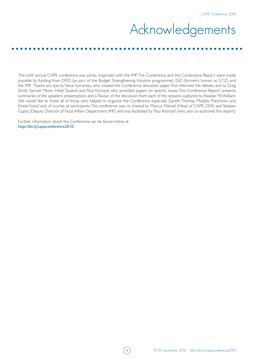# Acknowledgements

The sixth annual CAPE conference was jointly organised with the IMF. The Conference and this Conference Report were made possible by funding from DFID (as part of the Budget Strengthening Initiative programme), GIZ (formerly known as GTZ) and the IMF. Thanks are due to Steve Symansky, who created the Conference discussion paper that informed the debate, and to Greg Smith, Samuel Moon, Heidi Tavakoli and Paul Ackroyd, who provided papers on specific issues. This Conference Report presents summaries of the speakers' presentations and a flavour of the discussion from each of the sessions captured by Alasdair McWilliam. We would like to thank all of those who helped to organise the Conference especially Gareth Thomas, Mafalda Marchioro and Eniola Yussuf and, of course, all participants. The conference was co chaired by Marcus Manuel (Head of CAPE, ODI) and Sanjeev Gupta (Deputy Director of Fiscal Affairs Department, IMF) and was facilitated by Paul Ackroyd (who also co-authored this report).

Further information about the Conference can be found online at: http://bit.ly/capeconference2010

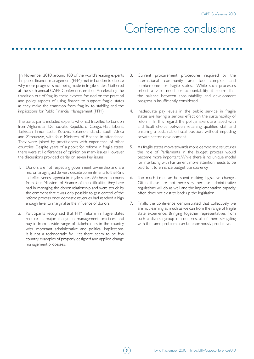# Conference conclusions

In November 2010, around 100 of the world's leading experts<br>in public financial management (PFM) met in London to debate n November 2010, around 100 of the world's leading experts why more progress is not being made in fragile states. Gathered at the sixth annual CAPE Conference, entitled Accelerating the transition out of fragility, these experts focused on the practical and policy aspects of using finance to support fragile states as they make the transition from fragility to stability, and the implications for Public Financial Management (PFM).

The participants included experts who had travelled to London from Afghanistan, Democratic Republic of Congo, Haiti, Liberia, Tajikistan, Timor Leste, Kosovo, Solomon Islands, South Africa and Zimbabwe, with four Ministers of Finance in attendance. They were joined by practitioners with experience of other countries. Despite years of support for reform in fragile states, there were still differences of opinion on many issues. However, the discussions provided clarity on seven key issues:

- 1. Donors are not respecting government ownership and are micromanaging aid delivery despite commitments to the Paris aid effectiveness agenda in fragile states. We heard accounts from four Ministers of Finance of the difficulties they have had in managing the donor relationship and were struck by the comment that it was only possible to gain control of the reform process once domestic revenues had reached a high enough level to marginalise the influence of donors.
- 2. Participants recognised that PFM reform in fragile states requires a major change in management practices and buy in from a wide range of stakeholders in the country, with important administrative and political implications. It is not a technocratic fix. Yet there seem to be few country examples of properly designed and applied change management processes.
- 3. Current procurement procedures required by the international community are too complex and cumbersome for fragile states. While such processes reflect a valid need for accountability, it seems that the balance between accountability and development progress is insufficiently considered.
- 4. Inadequate pay levels in the public service in fragile states are having a serious effect on the sustainability of reform. In this regard, the policymakers are faced with a difficult choice between retaining qualified staff and ensuring a sustainable fiscal position, without impeding private sector development.
- 5. As fragile states move towards more democratic structures the role of Parliaments in the budget process would become more important. While there is no unique model for interfacing with Parliament, more attention needs to be paid to it to enhance budget transparency.
- 6. Too much time can be spent making legislative changes. Often these are not necessary because administrative regulations will do as well and the implementation capacity often does not exist to back up the legislation.
- 7. Finally, the conference demonstrated that collectively we are not learning as much as we can from the range of fragile state experience. Bringing together representatives from such a diverse group of countries, all of them struggling with the same problems can be enormously productive.

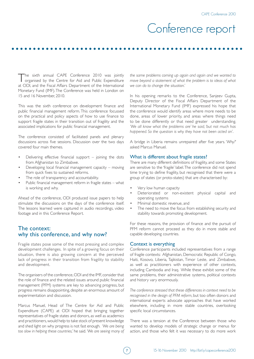# Conference report

The sixth annual CAPE Conference 2010 was jointly organised by the Centre for Aid and Public Expenditure at ODI, and the Fiscal Affairs Department of the International Monetary Fund (IMF). The Conference was held in London on 15 and 16 November, 2010.

This was the sixth conference on development finance and public financial management reform. This conference focussed on the practical and policy aspects of how to use finance to support fragile states in their transition out of fragility and the associated implications for public financial management.

The conference consisted of facilitated panels and plenary discussions across five sessions. Discussion over the two days covered four main themes.

- Delivering effective financial support  $-$  joining the dots from Afghanistan to Zimbabwe.
- Developing local financial management capacity moving from quick fixes to sustained reforms.
- The role of transparency and accountability.
- Public financial management reform in fragile states what is working and why.

Ahead of the conference, ODI produced issue papers to help stimulate the discussions on the days of the conference itself. The lessons learned were captured in audio recordings, video footage and in this Conference Report.

# The context: why this conference, and why now?

Fragile states pose some of the most pressing and complex development challenges. In spite of a growing focus on their situation, there is also growing concern at the perceived lack of progress in their transition from fragility to stability and development.

The organisers of the conference, ODI and the IMF, consider that the role of finance and the related issues around public financial management (PFM) systems are key to advancing progress, but progress remains disappointing, despite an enormous amount of experimentation and discussion.

Marcus Manuel, Head of The Centre for Aid and Public Expenditure (CAPE) at ODI hoped that bringing together representatives of fragile states and donors, as well as academics and practitioners, would help to take stock of present knowledge and shed light on why progress is not fast enough. *'We are being too slow in helping these countries,'* he said. *'We are seeing many of* 

*the same problems coming up again and again and we wanted to move beyond a statement of what the problem is to ideas of what we can do to change the situation.'*

In his opening remarks to the Conference, Sanjeev Gupta, Deputy Director of the Fiscal Affairs Department of the International Monetary Fund (IMF) expressed his hope that the conference would identify areas where more needs to be done, areas of lower priority, and areas where things need to be done differently or that need greater understanding. *'We all know what the problems are' he said, 'but not much has happened. So the question is why they have not been acted on'*.

A bridge in Liberia remains unrepaired after five years. '*Why?*' asked Marcus Manuel.

### What is different about fragile states?

There are many different definitions of fragility, and some States are sensitive to the 'fragile' label. The conference did not spend time trying to define fragility, but recognised that there were a group of states (or proto-states) that are characterised by:

- Very low human capacity
- Deteriorated or non-existent physical capital and operating systems
- Minimal domestic revenue, and
- The need to move the focus from establishing security and stability towards promoting development.

For these reasons, the provision of finance and the pursuit of PFM reform cannot proceed as they do in more stable and capable developing countries.

#### Context is everything

Conference participants included representatives from a range of fragile contexts: Afghanistan, Democratic Republic of Congo, Haiti, Kosovo, Liberia, Tajikistan, Timor Leste, and Zimbabwe, as well as practitioners with experience of other contexts, including Cambodia and Iraq. While these exhibit some of the same problems, their administrative systems, political contexts and history vary enormously.

*The conference stressed that these differences in context need to be recognised in the design of PFM reform*, but too often donors and international experts advocate approaches that have worked elsewhere, including in more stable countries, overlooking specific local circumstances.

There was a tension at the Conference between those who wanted to develop models of strategic change or menus for action, and those who felt it was necessary to do more work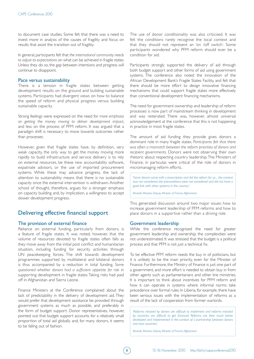to document case studies. Some felt that there was a need to invest more in analysis of the causes of fragility and focus on results that assist the transition out of fragility.

In general, participants felt that *the international community needs to adjust its expectations* on what can be achieved in fragile states. Unless they do so, the gap between intentions and progress will continue to disappoint.

### Pace versus sustainability

There is a tension in fragile states between getting development results on the ground and building sustainable systems. Participants had divergent views on how to balance the speed of reform and physical progress versus building sustainable capacity.

Strong feelings were expressed on the need for *more emphasis on getting the money moving to deliver development impact*, and less on the process of PFM reform. It was argued that a paradigm shift is necessary to move towards outcomes rather than processes.

However, given that fragile states have, by definition, very weak capacity, the only way to get the money moving more rapidly to build infrastructure and service delivery is to rely on external resources, be these new accountability software, expatriate advisors, or the use of imported procurement systems. While these may advance progress, the lack of attention to sustainability means that there is no sustainable capacity once the external intervention is withdrawn. Another school of thought, therefore, argues for a stronger emphasis on capacity building and, by implication, a willingness to accept slower development progress.

# Delivering effective financial support

## The provision of external finance

Reliance on external funding, particularly from donors, is a feature of fragile states. It was noted, however, that the volume of resources devoted to fragile states often falls as they move away from the initial post conflict and humanitarian situation, including funding for security activities through UN peacekeeping forces. The shift towards development programmes supported by multilateral and bilateral donors is thus accompanied by a reduction in total funding. *Some questioned whether donors had a sufficient appetite for risk* in supporting development in fragile states. Taking risks had paid off in Afghanistan and Sierra Leone.

Finance Ministers at the Conference complained about the lack of predictability in the delivery of development aid. They would prefer that development assistance be provided through government systems as much as possible, and preferably in the form of budget support. Donor representatives, however, pointed out that budget support accounts for a relatively small proportion of total aid globally and, for many donors, it seems to be falling out of fashion.

The use of donor conditionality was also criticised. It was felt the conditions rarely recognise the local context and that they should not represent an 'on /off switch'. Some participants wondered why PFM reform should ever be a condition for aid.

Participants strongly supported the delivery of aid through both budget support and other forms of aid using government systems. The conference also noted the innovation of the African Development Bank's Fragile States Facility, and felt that there should be more effort to design innovative financing mechanisms that could support fragile states more effectively than conventional development financing mechanisms.

The need for government ownership and leadership of reform processes is now part of mainstream thinking in development and was reiterated. There was, however, almost universal acknowledgement at the conference that this is not happening in practice in most fragile states.

The amount of aid funding they provide gives donors a dominant role in many fragile states. *Participants felt that there was often a mismatch between the reform priorities of donors and recipient governments*. Donors were not observing their own rhetoric about respecting country leadership. The Ministers of Finance, in particular, were critical of the role of donors in micromanaging reform efforts.

'*Some donors came with a prescription and did the reform for us.... the context was not considered, the preconditions were not considered and did not have a good link with other systems in the country*.'

*Mustafa Mastoor, Deputy Minister of Finance, Afghanistan* 

This generated discussion around two major issues: how to increase government leadership of PFM reforms and how to place donors in a supportive rather than a driving role.

## Government leadership

While the conference recognised the need for greater government leadership and ownership, the complexities were not underestimated. It was stressed that the budget is a political process and that PFM is not just a technical fix.

To be effective PFM reform needs the buy in of politicians, but it is unlikely to be the main priority, even for the Minister of Finance. Furthermore, the Ministry of Finance is just one part of a government, and more effort is needed to obtain buy in from other agents such as parliamentarians and other line ministries. It is important to think about incentives for PFM reform and how it can operate in systems where informal norms take precedence over formal rules. In Liberia, for example, there have been serious issues with the implementation of reforms as a result of the lack of cooperation from former warlords.

'*Reforms initiated by donors are difficult to implement and reforms initiated*  by countries are difficult to get financed. Reforms are then much better *developed and implemented in the context of a partnership between donors and host countries*.'

*Mustafa Mastoor, Deputy Minister of Finance, Afghanistan*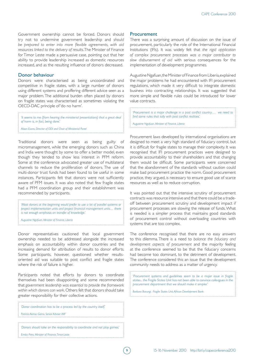Government ownership cannot be forced. Donors should try not to undermine government leadership and *should be prepared to enter into more flexible agreements, with aid resources linked to the delivery of results*. The Minister of Finance for Timor Leste made a persuasive case, pointing out that her ability to provide leadership increased as domestic resources increased, and as the resulting influence of donors decreased.

#### Donor behaviour

Donors were characterised as being uncoordinated and competitive in fragile states, with a large number of donors using different systems and proffering different advice seen as a major problem. The additional burden often placed by donors on fragile states was characterised as sometimes violating the OECD-DAC principle of 'do no harm'.

'*It seems to me (from hearing the ministerial presentations) that a great deal of harm is, in fact, being done*.'

*Alison Evans, Director of ODI and Chair of Ministerial Panel* 

Traditional donors were seen as being guilty of micromanagement, while the emerging donors such as China and India were thought by some to offer a better model, even though they tended to show less interest in PFM reform. Some at the conference advocated greater use of multilateral channels to reduce the proliferation of donors. The use of multi-donor trust funds had been found to be useful in some instances. Participants felt that donors were not sufficiently aware of PFM issues. It was also noted that few fragile states had a PFM coordination group and their establishment was recommended by participants.

'*Most donors at the beginning would prefer to use a lot of parallel systems or project implementation units and project financial management units… there is not enough emphasis on transfer of knowledge*.'

*Augustine Ngafuan, Minister of Finance, Liberia*

Donor representatives cautioned that local government ownership needed to be addressed alongside the increased emphasis on accountability within donor countries and the increasing demand for attribution of results to donor efforts. Some participants, however, questioned whether resultsoriented aid was suitable to post conflict and fragile states where the risk of failure is higher.

Participants noted that efforts by donors to coordinate themselves had been disappointing and some recommended that *government leadership was essential to provide the framework within which donors can work*. Others felt that donors should take greater responsibility for their collective actions.

| $\frac{1}{2}$ 'Donor coordination has to be a process led by the country itself. |
|----------------------------------------------------------------------------------|
| : Patricia Alonso Gamo, Senior Adviser IMF                                       |
|                                                                                  |
| : 'Donors should take on the responsibility to coordinate and not play games.'   |
| : Emilia Pires, Minister of Finance, Timor-Leste                                 |

#### **Procurement**

There was a surprising amount of discussion on the issue of procurement, particularly the role of the International Financial Institutions (IFIs). It was widely felt that *the rigid application of complex procurement processes was a major contributor to slow disbursement of aid* with serious consequences for the implementation of development programmes.

Augustine Ngafuan, the Minister of Finance from Liberia, explained the major problems he had encountered with IFI procurement regulations, which made it very difficult to integrate domestic business into contracting relationships. It was suggested that more simple and flexible rules could be introduced for lower value contracts.

'*Procurement is a major challenge in a post conflict country…. we need to find some rules that tally with post conflict realities*.'

*Augustine Ngafuan, Minister of Finance, Liberia* 

Procurement laws developed by international organisations are designed to meet a very high standard of fiduciary control, but it is difficult for fragile states to manage their complexity. It was recognised that IFI procurement practices were designed to provide accountability to their shareholders and that changing them would be difficult. Some participants were concerned that the abandonment of the standards without caution could make bad procurement practice the norm. Good procurement practice, they argued, is necessary to ensure good use of scarce resources as well as to reduce corruption.

It was pointed out that the intensive scrutiny of procurement contracts was resource intensive and that there could be a tradeoff between procurement scrutiny and development impact if procurement processes are slowing the release of funds. What is needed is a simpler process that maintains good standards of procurement control without overloading countries with systems that are too complex.

The conference recognised that there are no easy answers to this dilemma. There is a need to *balance the fiduciary and development aspects of procurement* and the majority feeling at the conference seemed to be that the fiduciary concerns had become too dominant, to the detriment of development. The conference considered this an issue that the development community needs to address as a matter of urgency.

'*Procurement systems and guidelines seem to be a major issue in fragile states... the Fragile States Unit has not been able to convince colleagues in the procurement department that we should make it simpler.*'

*Barbara Barungi, Fragile States Unit, African Development Bank* 

9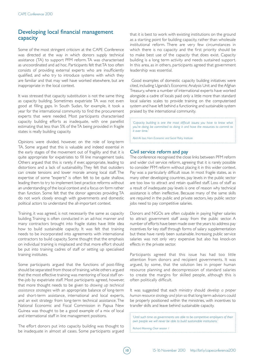# Developing local financial management capacity

Some of the most stringent criticism at the CAPE Conference was directed at the way in which donors supply technical assistance (TA) to support PFM reform. TA was characterised as uncoordinated and ad hoc. Participants felt that TA too often consists of providing external experts who are insufficiently qualified, and who try to introduce systems with which they are familiar and that may well have worked elsewhere, but are inappropriate in the local context.

It was stressed that capacity substitution is not the same thing as capacity building. Sometimes expatriate TA was not even good at filling gaps. In South Sudan, for example, it took a year for the international community to find the procurement experts that were needed. Most participants characterised capacity building efforts as inadequate, with one panellist estimating that less than 5% of the TA being provided in fragile states is really building capacity.

Opinions were divided, however, on the role of long-term TA. Some argued that this is valuable and indeed essential in the early stages of the movement out of fragility and that it is quite appropriate for expatriates to fill line management tasks. Others argued that this is rarely, if ever, appropriate, leading to distortions and a lack of sustainability. They felt that outsiders can create tensions and lower morale among local staff. The expertise of some "experts" is often felt to be quite shallow, leading them to try to implement best practice reforms without an understanding of the local context and a focus on form rather than function. Some felt that the donor agencies providing TA do not work closely enough with governments and domestic political actors to understand the all-important context.

Training, it was agreed, is not necessarily the same as capacity building. Training is often conducted in an ad-hoc manner and many contractors brought into fragile states have little idea how to build sustainable capacity. It was felt that training needs to be incorporated into agreements with international contractors to build capacity. Some thought that the emphasis on individual training is misplaced and that more effort should be put into training cadres of staff or setting up specialised training institutes.

Some participants argued that the functions of post-filling should be separated from those of training, while others argued that the most effective training was mentoring of local staff onthe-job by expatriate staff. Most participants agreed, however, that more thought needs to be given to *drawing up technical assistance strategies* with an appropriate balance of long-term and short-term assistance, international and local experts, and an exit strategy from long-term technical assistance. The National Economic and Fiscal Commission in Papua New Guinea was thought to be a good example of a mix of local and international staff in line management positions.

The effort donors put into capacity building was thought to be inadequate in almost all cases. Some participants argued that it is best to work with existing institutions on the ground as a starting point for building capacity, rather than wholesale institutional reform. There are very few circumstances in which there is no capacity and the first priority should be to make best use of the capacity that does exist. Capacity building is a long term activity and needs sustained support. In this area, as in others, participants agreed that government leadership was essential.

 Good examples of domestic capacity building initiatives were cited, including Uganda's Economic Analysis Unit and the Afghan Treasury, where a number of international experts have worked alongside a cadre of locals paid only a little more than standard local salaries scales to provide training on the computerised system and have left behind a functioning and sustainable system praised by the international community.

'*Capacity building is one the most difficult issues; you have to know what you're doing, be committed to doing it and have the resources to commit to it over time.*'

*Abdi Ali Issa, Horn Economic and Social Policy Institute*

## Civil service reform and pay

The conference recognised the close links between PFM reform and wider civil service reform, agreeing that it is rarely possible to consider PFM reform without placing it in this wider context. Pay was a particularly difficult issue. In most fragile states, as in many other developing countries, pay levels in the public sector are too low to attract and retain qualified staff. Loss of staff as a result of inadequate pay levels is one of reason why technical assistance is often ineffective. Because many of the same skills are required in the public and private sectors, key public sector jobs need to pay competitive salaries.

Donors and NGOs are often culpable in paying higher salaries to attract government staff away from the public sector. A number of efforts have been made over the years to address pay incentives for key staff through forms of salary supplementation but these have rarely been sustainable. Increasing public service salaries was not only very expensive but also has knock-on effects in the private sector.

Participants agreed that this issue has had too little attention from donors and recipient governments. It was argued, by some, that the solution lies in proper human resource planning and decompression of standard salaries to create the margins for skilled people, although this is often politically difficult.

It was suggested that each ministry should *develop a proper human resource strategy and plan* so that long term advisors could be properly positioned within the ministries, with incentives to transfer skills and leave behind sustainable capacity.

'*Until such time as governments are able to be competitive employers of their own people we will never be able to build sustainable institutions.*'

*Richard Manning, Chair session 1* 

10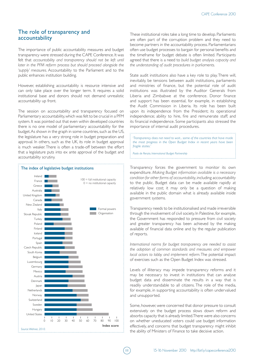# The role of transparency and accountability

The importance of public accountability measures and budget transparency were stressed during the CAPE Conference. It was felt that *accountability and transparency should not be left until later in the PFM reform process but should proceed alongside the 'supply' measures*. Accountability to the Parliament and to the public enhances institution building.

However, establishing accountability is resource intensive and can only take place over the longer term. It requires a solid institutional base and donors should not demand unrealistic accountability up front.

The session on accountability and transparency focused on Parliamentary accountability, which was felt to be crucial in a PFM system. It was pointed out that even within developed countries there is no one model of parliamentary accountability for the budget. As shown in the graph in some countries, such as the US, the legislature has a very strong role in budget preparation and approval. In others, such as the UK, its role in budget approval is much weaker. There is often a trade-off between the effort that a legislature puts into ex ante approval of the budget and accountability scrutiny.



These institutional roles take a long time to develop. Parliaments are often part of the corruption problem and they need to become partners in the accountability process. Parliamentarians often use budget processes to bargain for personal benefits and the timeframe for budget debate is often limited. Participants agreed that there is a need to *build budget analysis capacity and the understanding of audit procedures in parliaments*.

State audit institutions also have a key role to play. There will, inevitably, be tensions between audit institutions, parliaments and ministries of finance, but the potential role of audit institutions was illustrated by the Auditor Generals from Liberia and Zimbabwe at the conference. Donor finance and support has been essential, for example, in establishing the Audit Commission in Liberia. Its role has been built upon its independence from the President; its operational independence; ability to hire, fire and remunerate staff; and its financial independence. Some participants also stressed the importance of internal audit procedures.

'*Transparency does not need to wait... some of the countries that have made the most progress in the Open Budget Index in recent years have been fragile states.*'

*Paolo de Renzio, International Budget Partnership*

Transparency forces the government to monitor its own expenditure. *Making Budget information available is a necessary condition for other forms of accountability*, including accountability to the public. Budget data can be made available rapidly at relatively low cost; it may only be a question of making available in the public domain what is already available inside government systems.

Transparency needs to be institutionalised and made irreversible through the involvement of civil society. In Palestine, for example, the Government has responded to pressure from civil society and greater transparency has been achieved by the making available of financial data online and by the regular publication of reports.

*International norms for budget transparency are needed to assist the adoption of common standards and measures and empower local actors to lobby and implement reform*. The potential impact of exercises such as the Open Budget Index was stressed.

Levels of illiteracy may impede transparency reforms and it may be necessary to invest in institutions that can analyse budget data and disseminate the results in a way that is readily understandable to all citizens. The role of the media, for example, in supporting accountability is often undervalued and unsupported.

Some, however, were concerned that donor pressure to consult extensively on the budget process slows down reform and absorbs capacity that is already limited. There were also concerns on whether uneducated voters could use budget information effectively, and concerns that budget transparency might inhibit the ability of Ministers of Finance to take decisive action.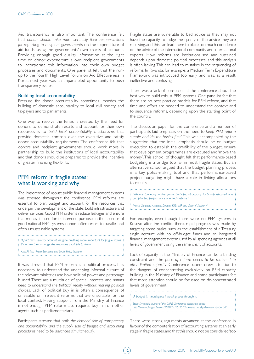Aid transparency is also important. The conference felt that *donors should take more seriously their responsibilities for reporting to recipient governments* on the expenditure of aid funds, using the governments' own charts of accounts. Providing enough good quality information at the right time on donor expenditure allows recipient governments to incorporate this information into their own budget processes and documents. One panellist felt that the runup to the Fourth High Level Forum on Aid Effectiveness in Korea next year was an unparalleled opportunity to push transparency issues.

### Building local accountability

Pressure for donor accountability sometimes impedes the building of domestic accountability to local civil society and taxpayers and to parliaments.

One way to resolve the tensions created by the need for donors to demonstrate results and account for their own resources is to *build local accountability mechanisms* that provide domestic controls over the executive and satisfy donor accountability requirements. The conference felt that donors and recipient governments should work more in partnership to build the institutions of local accountability and that donors should be prepared to provide the incentive of greater financing flexibility.

# PFM reform in fragile states: what is working and why

The importance of robust public financial management systems was stressed throughout the conference. PFM reforms are essential to plan, budget and account for the resources that underpin the development of the state, build infrastructure and deliver services. Good PFM systems reduce leakages and ensure that money is used for its intended purpose. In the absence of good national PFM systems, donors often resort to parallel and often unsustainable systems.

'*Apart from security I cannot imagine anything more important for fragile states than how they manage the resources available to them.*'

*Abdi Ali Issa , Horn Economic and Social Policy Institute*

It was stressed that PFM reform is a political process. It is necessary to understand the underlying informal culture of the relevant ministries and how political power and patronage is used. There are a multitude of special interests, and *donors need to understand the political reality without making political choices*. Lack of political buy in is often a consequence of unfeasible or irrelevant reforms that are unsuitable for the local context. Having support from the Ministry of Finance is not enough: PFM reform also requires buy in from other agents such as parliamentarians.

Participants stressed that both *the demand side of transparency and accountability, and the supply side of budget and accounting procedures need to be advanced simultaneously.*

Fragile states are vulnerable to bad advice as they may not have the capacity to judge the quality of the advice they are receiving, and this can lead them to place too much confidence on the advice of the international community and international experts. How reforms are institutionalised and sustained depends upon domestic political processes, and this analysis is often lacking. This can lead to mistakes in the sequencing of reforms. In Rwanda, for example, a Medium Term Expenditure Framework was introduced too early and was, as a result, ineffective and confusing.

There was a lack of consensus at the conference about the best way to build robust PFM systems. One panellist felt that there are no best practice models for PFM reform, and that time and effort are needed to understand the context and to sequence reforms, depending upon the starting point of the country.

The discussion paper for the conference and a number of participants laid emphasis on the need to *keep PFM reform simple and 'do the basics first'*. This was accompanied by the suggestion that the initial emphasis should be on budget execution to establish the credibility of the budget, ensure that development programmes are executed and 'move the money'. This school of thought felt that performance-based budgeting is a bridge too far in most fragile states. But an alternative school argued that the budget planning process is a key policy-making tool and that performance-based project budgeting might have a role in linking allocations to results.

'*We are too early in the game, perhaps, introducing fairly sophisticated and complicated performance oriented systems.*'

*Marco Cangiano, Assistant Director FAD IMF and Chair of Session 4*

For example, even though there were no PFM systems in Kosovo after the conflict there, rapid progress was made by targeting some basics, such as the establishment of a Treasury single account with no off-budget funds and an integrated financial management system used by all spending agencies at all levels of government using the same chart of accounts.

Lack of capacity in the Ministry of Finance can be a binding constraint and the *pace of reform needs to be matched to often limited capacity*. Conference papers drew attention to the dangers of concentrating exclusively on PFM capacity building in the Ministry of Finance and some participants felt that more attention should be focussed on de-concentrated levels of government.

'*A budget is meaningless if nothing goes through it.*'

*Steve Symansky, author of the CAPE Conference discussion paper http://www.odi.org.uk/events/2010/11/15/2513-steve-symansky-discussion-paper.pdf*

There were strong arguments advanced at the conference in favour of the computerisation of accounting systems at an early stage in fragile states, and that this should not be considered 'too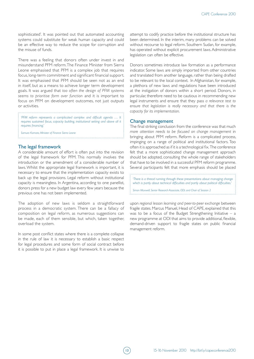sophisticated'. It was pointed out that automated accounting systems could substitute for weak human capacity and could be an effective way to reduce the scope for corruption and the misuse of funds.

There was a feeling that donors often under invest in and misunderstand PFM reform. The Finance Minister from Sierra Leone emphasised that PFM is a complex job that requires focus, long-term commitment and significant financial support. It was emphasised that PFM should be seen not as an end in itself, but as a means to achieve longer term development goals. It was argued that *too often the design of PFM systems seems to prioritise form over function* and it is important to focus on PFM on development outcomes, not just outputs or activities.

'*PFM reform represents a complicated complex and difficult agenda … It requires sustained focus, capacity building, institutional setting and above all it requires financing.*'

*Samura Kamara, Minister of Finance Sierra Leone* 

### The legal framework

A considerable amount of effort is often put into the revision of the legal framework for PFM. This normally involves the introduction or the amendment of a considerable number of laws. Whilst the appropriate legal framework is important, it is necessary to ensure that the implementation capacity exists to back up the legal provisions. Legal reform without institutional capacity is meaningless. In Argentina, according to one panellist, donors press for a new budget law every few years because the previous one has not been implemented.

The adoption of new laws is seldom a straightforward process in a democratic system. There can be a fallacy of composition on legal reform, as numerous suggestions can be made, each of them sensible, but which, taken together, overload the system.

In some post conflict states where there is a complete collapse in the rule of law it is necessary to establish a basic respect for legal procedures and some form of social contract before it is possible to put in place a legal framework. It is unwise to attempt to codify practice before the institutional structure has been determined. In the interim, many problems can be solved without recourse to legal reform. Southern Sudan, for example, has operated without explicit procurement laws. Administrative legislation can often be effective.

Donors sometimes introduce law formation as a performance indicator. Some laws are simply imported from other countries and translated from another language, rather than being drafted to be relevant to the local context. In Afghanistan, for example, a plethora of new laws and regulations have been introduced at the instigation of donors within a short period. Donors, in particular, therefore need to be cautious in recommending new legal instruments and ensure that they pass *a relevance test to ensure that legislation is really necessary and that there is the capacity for its implementation*.

#### Change management

The final striking conclusion from the conference was that much *more attention needs to be focused on change management* in bringing about PFM reform. Reform is a complicated process, impinging on a range of political and institutional factors. Too often it is approached as if it is a technological fix. The conference felt that a more sophisticated change management approach should be adopted, consulting the whole range of stakeholders that have to be involved in a successful PFM reform programme. Several participants felt that more emphasis should be placed

'*There is a thread running through these presentations about managing change which is partly about technical difficulties and partly about political difficulties.*'

*Simon Maxwell, Senior Research Associate, ODI, and Chair of Session 2*

upon *regional lesson learning and peer-to-peer exchange* between fragile states. Marcus Manuel, Head of CAPE, explained that this was to be a focus of the Budget Strengthening Initiative  $-$  a new programme at ODI that aims to provide additional, flexible, demand-driven support to fragile states on public financial management reform.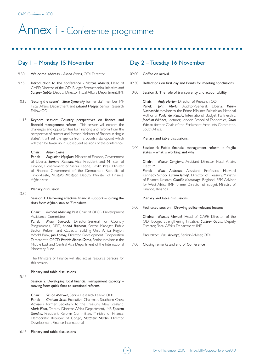# Annex i - Conference programme

# Day 1 – Monday 15 November

- 9.30 Welcome address - *Alison Evans*, ODI Director.
- 9.45 Introduction to the conference - *Marcus Manuel*, Head of CAPE; Director of the ODI Budget Strengthening Initiative and *Sanjeev Gupta*, Deputy Director, Fiscal Affairs Department, IMF.
- 10.15 'Setting the scene' - *Steve Symansky*, former staff member IMF Fiscal Affairs Department and *Edward Hedger*, Senior Research Fellow ODI
- 11.15 Keynote session: Country perspectives on finance and financial management reform - This session will explore the challenges and opportunities for financing and reform from the perspective of current and former Ministers of Finance in 'fragile states'. It will set the agenda from a country standpoint which will then be taken up in subsequent sessions of the conference.

#### Chair: *Alison Evans*

Panel: *Augustine Ngafuan*, Minister of Finance, Government of Liberia, *Samura Kamara*, Vice President and Minister of Finance, Government of Sierra Leone, *Emilia Pires*, Minister of Finance, Government of the Democratic Republic of Timor-Leste, *Mustafa Mastoor*, Deputy Minister of Finance, Afghanistan

#### Plenary discussion

13.30

15.45

Session 1: Delivering effective financial support – joining the dots from Afghanistan to Zimbabwe

Chair: *Richard Manning*, Past Chair of OECD Development Assistance Committee.

Panel: *Mark Lowcock*, Director-General for Country Programmes, DFID, *Anand Rajaram*, Sector Manager, Public Sector Reform and Capacity Building Unit, Africa Region, World Bank, *Jon Lomoy*, Director, Development Cooperation Directorate OECD, *Patricia Alonso-Gamo*, Senior Advisor in the Middle East and Central Asia Department of the International Monetary Fund.

The Ministers of Finance will also act as resource persons for this session.

#### Plenary and table discussions

Session 2: Developing local financial management capacity – moving from quick fixes to sustained reforms

Chair: *Simon Maxwell*, Senior Research Fellow ODI. Panel: *Graham Scott*, Executive Chairman, Southern Cross Advisers; former Secretary to the Treasury, New Zealand, *Mark Plant*, Deputy Director, Africa Department, IMF, *Ephrem Gondha*, President, Reform Committee, Ministry of Finance, Democratic Republic of Congo, *Matthew Martin*, Director, Development Finance International

# Day 2 – Tuesday 16 November

- 09.00 Coffee on arrival
- 09.30 Reflections on first day and Points for meeting conclusions
- 10.00 Session 3: The role of transparency and accountability

Chair: *Andy Norton*, Director of Research ODI Panel: *John Morlu*, Auditor-General, Liberia, *Karim Nashashibi*, Advisor to the Prime Minister, Palestinian National Authority, *Paolo de Renzio*, International Budget Partnership, *Joachim Wehner*, Lecturer, London School of Economics, *Gavin Woods*, former Chair of the Parliament Accounts Committee, South Africa.

#### Plenary and table discussions.

13.00 Session 4: Public financial management reform in fragile states – what is working and why

> Chair: *Marco Cangiano*, Assistant Director Fiscal Affairs Dept IMF

Panel: *Matt Andrews*, Assistant Professor, Harvard Kennedy School, *Lulzim Ismajli*, Director of Treasury, Ministry of Finance, Kosovo, *Camille Karamaga*, Regional PFM Adviser for West Africa, IMF; former Director of Budget, Ministry of Finance, Rwanda

#### Plenary and table discussions

15.00 Facilitated session: Drawing policy-relevant lessons

> Chairs: *Marcus Manuel,* Head of CAPE; Director of the ODI Budget Strengthening Initiative, *Sanjeev Gupta*, Deputy Director, Fiscal Affairs Department, IMF

Facilitator: *Paul Ackroyd*, Senior Adviser, ODI

#### 17.00 Closing remarks and end of Conference

#### 16.45 Plenary and table discussions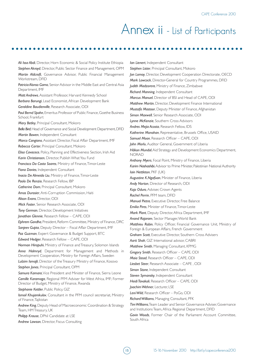# Annex ii - List of Participants

*Ali Issa Abdi*, Director, Horn Economic & Social Policy Institute Ethiopia *Stephen Akroyd*, Director, Public Sector Finance and Management, OPM *Martin Aldcroft*, Governance Advisor, Public Financial Management Workstream, DFID *Patricia Alonso Gamo*, Senior Advisor in the Middle East and Central Asia Department, IMF *Matt Andrews*, Assistant Professor, Harvard Kennedy School *Barbara Barungi*, Lead Economist, African Development Bank *Geraldine Baudienville*, Research Associate, ODI *Paul Bernd Spahn*, Emeritus Professor of Public Finance, Goethe Business School, Frankfurt *Mary Betley*, Principal Consultant, Mokoro *Bella Bird*, Head of Governance and Social Development Department, DFID *Martin Bowen*, Independent Consultant *Marco Cangiano*, Assistant Director, Fiscal Affair Department, IMF *Rebecca Carter*, Principal Consultant, Mokoro *Elisa Cavacece*, Policy, Planning and Effectiveness Section, Irish Aid *Karin Christiansen*, Director, Publish What You Fund *Francisco Da Costa Soares*, Ministry of Finance, Timor-Leste *Fiona Davies*, Independent Consultant *Inacio De Almeida Liu*, Ministry of Finance, Timor-Leste *Paolo De Renzio*, Research Fellow, IBP *Catherine Dom*, Principal Consultant, Mokoro *Amos Durosier*, Anti-Corruption Commission, Haiti *Alison Evans*, Director, ODI *Mick Foster*, Senior Research Associate, ODI *Tony German*, Director, Development Initiatives *Jonathan Glennie*, Research Fellow – CAPE, ODI *Ephrem Gondha*, President, Reform Committee, Ministry of Finance, DRC *Sanjeev Gupta*, Deputy Director – Fiscal Affair Department, IMF *Paz Guzman*, Expert Governance & Budget Support, BTC *Edward Hedger*, Research Fellow – CAPE, ODI *Norman Hiropuhi*, Ministry of Finance and Treasury, Solomon Islands *Anna Holmryd*, Department for Management and Methods in Development Cooperation, Ministry for Foreign Affairs, Sweden *Lulzim Ismajli*, Director of the Treasury Ministry of Finance, Kosovo *Stephen Jones*, Principal Consultant, OPM *Samura Kamara*, Vice President and Minister of Finance, Sierra Leone *Camille Karamaga*, Regional PFM Adviser for West Africa, IMF; Former Director of Budget, Ministry of Finance, Rwanda *Stephanie Kettler*, Public Policy, GIZ *Ismoil Khujamkulov*, Consultant in the PFM council secretariat, Ministry of Finance, Tajikistan *Andrew King*, Deputy Head of Macroeconomic Coordination & Strategy Team, HM Treasury, UK *Philipp Krause*, DPhil Candidate at LSE

*Andrew Lawson*, Director, Fiscus Consulting

*Ian Lienert*, Independent Consultant *Stephen Lister*, Principal Consultant, Mokoro *Jon Lomoy*, Director, Development Cooperation Directorate, OECD *Mark Lowcock*, Director-General for Country Programmes, DFID *Judith Madzorera*, Ministry of Finance, Zimbabwe *Richard Manning*, Independent Consultant *Marcus Manuel*, Director of BSI and Head of CAPE, ODI *Matthew Martin*, Director, Development Finance International *Mustafa Mastoor*, Deputy Minister of Finance, Afghanistan *Simon Maxwell*, Senior Research Associate, ODI *Lynne McKenzie*, Southern Cross Advisors *Andres Mejia Acosta*, Research Fellow, IDS *Katherine Monahan*, Representative, Brussels Office, USAID *Samuel Moon*, Research Officer – CAPE, ODI *John Morlu*, Auditor General, Government of Liberia *Håkon Mundal*, Aid Strategy and Development Economics Department, NORAD *Anthony Myers*, Focal Point, Ministry of Finance, Liberia *Karim Nashashibi*, Advisor to Prime Minister, Palestinian National Authority *Iain Nettleton*, PKF (UK) *Augustine K.Ngafuan*, Minister of Finance, Liberia *Andy Norton*, Director of Research, ODI *Kojo Oduro*, Adviser, Crown Agents *Rachel Perrin*, PFM team, DFID *Manuel Pietra*, Executive Director, Free Balance *Emilia Pires*, Minister of Finance, Timor-Leste *Mark Plant*, Deputy Director, Africa Department, IMF *Anand Rajaram*, Sector Manager, World Bank *Matthieu Robin*, Policy Officer, Financial Governance Unit, Ministry of Foreign & European Affairs, French Government *Graham Scott*, Executive Director, Southern Cross Advisers *Aarti Shah*, GIZ International advisor, CABRI *Matthew Smith*, Managing Consultant, KPMG *Gregory Smith*, Research Officer – CAPE, ODI *Maia Stead*, Research Officer – CAPE, ODI *Liesbet Steer*, Research Associate – CAPE , ODI *Simon Stone*, Independent Consultant *Steven Symansky*, Independent Consultant *Heidi Tavakoli*, Research Officer – CAPE, ODI *Joachim Wehner*, Lecturer, LSE *Leni Wild*, Research Officer – PoGo, ODI *Richard Williams*, Managing Consultant, PFK *Tim Williams*, Team Leader and Senior Governance Adviser, Governance and Institutions Team, Africa Regional Department, DFID *Gavin Woods*, Former Chair of the Parliament Account Committee, South Africa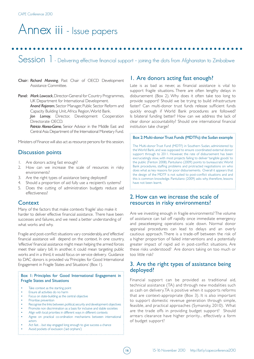# Annex iii - Issue papers

Session 1 - Delivering effective financial support - joining the dots from Afghanistan to Zimbabwe

- Chair: *Richard Manning*, Past Chair of OECD Development Assistance Committee.
- Panel: *Mark Lowcock*, Director-General for Country Programmes, UK Department for International Development.

*Anand Rajaram*, Sector Manager, Public Sector Reform and Capacity Building Unit, Africa Region, World Bank.

*Jon Lomoy*, Director, Development Cooperation Directorate OECD.

*Patricia Alonso-Gamo*, Senior Advisor in the Middle East and Central Asia Department of the International Monetary Fund.

Ministers of Finance will also act as resource persons for this session.

# Discussion points

- 1. Are donors acting fast enough?
- 2. How can we increase the scale of resources in risky environments?
- 3. Are the right types of assistance being deployed?
- 4. Should a proportion of aid fully use a recipient's systems?
- 5. Does the cutting of administration budgets reduce aid effectiveness?

# **Context**

Many of the factors that make contexts 'fragile' also make it harder to deliver effective financial assistance. There have been successes and failures, and we need a better understanding of what works and why.

Fragile and post-conflict situations vary considerably, and 'effective' financial assistance will depend on the context. In one country, 'effective' financial assistance might mean helping the armed forces meet their salary bill. In another, it could mean targeting public works and in a third, it would focus on service delivery. Guidance to DAC donors is provided via 'Principles for Good International Engagement in Fragile States and Situations' (Box 1).

# Box 1: Principles for Good International Engagement in Fragile States and Situations

- Take context as the starting point
- Ensure all activities do no harm
- Focus on state-building as the central objective
- Prioritise prevention
- Recognise the links between, political, security and development objectives
- Promote non discrimination as a basis for inclusive and stable societies
- Align with local priorities in different ways in different contexts
- Agree on practical co-ordination mechanisms between international actors
- Act fast...but stay engaged long enough to give success a chance
- Avoid pockets of exclusion ('aid orphans')

# 1. Are donors acting fast enough?

Late is as bad as never, as financial assistance is vital to support fragile situations. There are often lengthy delays in disbursement (Box 2). Why does it often take too long to provide support? Should we be trying to build infrastructure faster? Can multi-donor trust funds release sufficient funds quickly enough if World Bank procedures are followed? Is bilateral funding better? How can we address the lack of clear donor accountability? Should one international financial institution take charge?

#### Box 2: Multi-donor Trust Funds (MDTFs): the Sudan example

The Multi-donor Trust Fund (MDTF) in Southern Sudan, administered by the World Bank, and was supposed to ensure coordinated external donor support through to 2011. However, the rate of disbursement has been excruciatingly slow, with most projects failing to deliver 'tangible goods' to the public (Fenton 2008). Pantuliano (2009) points to bureaucratic World Bank procedures, staffing problems and protracted negotiations on who does what as key reasons for poor disbursements. Overall it appears that the design of the MDTF is not suited to post-conflict situations and and this is common knowledge. Pantuliano (2009) asks why, therefore, lessons have not been learnt.

# 2. How can we increase the scale of resources in risky environments?

Are we investing enough in fragile environments? The volume of assistance can tail off rapidly once immediate emergency and peacekeeping operations scale down. Normal donor appraisal procedures can lead to delays and an overly cautious approach. There is a trade-off between the risk of a higher proportion of failed interventions and a potentially greater impact of rapid aid in post-conflict situations. Are these risks understood? Are donors taking on too much or too little risk?

# 3. Are the right types of assistance being deployed?

Financial support can be provided as traditional aid, technical assistance (TA) and through new modalities such as cash on delivery. TA is positive when it supports reforms that are context-appropriate (Box 3). It is also important to support domestic revenue generation through simple, feasible, and practical approaches (Symansky, 2010). What are the trade offs in providing budget support? Should arrears clearance have higher priority... effectively a form of budget support?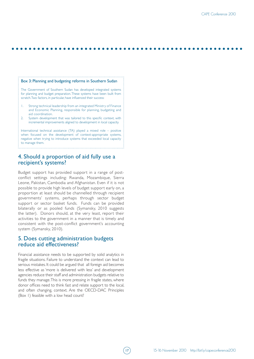#### Box 3: Planning and budgeting reforms in Southern Sudan

The Government of Southern Sudan has developed integrated systems for planning and budget preparation. These systems have been built from scratch. Two factors, in particular, have influenced their success:

- 1. Strong technical leadership from an integrated Ministry of Finance and Economic Planning, responsible for planning, budgeting and aid coordination.
- 2. System development that was tailored to this specific context, with incremental improvements aligned to development in local capacity.

International technical assistance (TA) played a mixed role – positive when focused on the development of context-appropriate systems, negative when trying to introduce systems that exceeded local capacity to manage them.

# 4. Should a proportion of aid fully use a recipient's systems?

Budget support has provided support in a range of postconflict settings including: Rwanda, Mozambique, Sierra Leone, Pakistan, Cambodia and Afghanistan. Even if it is not possible to provide high levels of budget support early on, a proportion at least should be channelled through recipient governments' systems, perhaps through sector budget support or sector basket funds. Funds can be provided bilaterally or as pooled funds (Symansky, 2010 suggests the latter). Donors should, at the very least, report their activities to the government in a manner that is timely and consistent with the post-conflict government's accounting system (Symansky, 2010).

# 5. Does cutting administration budgets reduce aid effectiveness?

Financial assistance needs to be supported by solid analytics in fragile situations. Failure to understand the context can lead to serious mistakes. It could be argued that all foreign aid becomes less effective as 'more is delivered with less' and development agencies reduce their staff and administration budgets relative to funds they manage. This is more pressing in fragile states, where donor offices need to think fast and relate support to the local, and often changing, context. Are the OECD-DAC Principles (Box 1) feasible with a low head count?

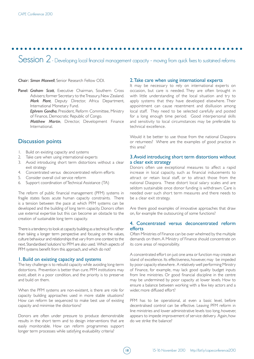Session 2 - Developing local financial management capacity - moving from quick fixes to sustained reforms

18

#### Chair: *Simon Maxwell*, Senior Research Fellow ODI.

Panel: *Graham Scott*, Executive Chairman, Southern Cross Advisers; former Secretary to the Treasury, New Zealand. *Mark Plant*, Deputy Director, Africa Department, International Monetary Fund.

> *Ephrem Gondha*, President, Reform Committee, Ministry of Finance, Democratic Republic of Congo.

> *Matthew Martin*, Director, Development Finance International.

# Discussion points

- 1. Build on existing capacity and systems
- 2. Take care when using international experts
- 3. Avoid introducing short term distortions without a clear exit strategy
- 4. Concentrated versus deconcentrated reform efforts
- 5. Consider overall civil service reform
- Support coordination of Technical Assistance (TA)

The reform of public financial management (PFM) systems in fragile states faces acute human capacity constraints. There is a tension between the pace at which PFM systems can be developed and the building of long term capacity. Donors often use external expertise but this can become an obstacle to the creation of sustainable long term capacity.

There is a tendency to look at capacity building as a technical fix rather than taking a longer term perspective and focusing on the values, culture behaviour and relationships that vary from one context to the next. Standardised 'solutions' to PFM are also used. Which aspects of PFM systems benefit from this approach, and which do not?

## 1. Build on existing capacity and systems

The key challenge is to rebuild capacity while avoiding long-term distortions. Prevention is better than cure. PFM institutions may exist, albeit in a poor condition, and the priority is to preserve and build on them.

When the PFM systems are non-existent, is there are role for capacity building approaches used in more stable situations? How can reform be sequenced to make best use of existing capacity and minimise the distortions?

Donors are often under pressure to produce demonstrable results in the short term and to design interventions that are easily monitorable. How can reform programmes support longer term processes while satisfying evaluability criteria?

### 2. Take care when using international experts

It may be necessary to rely on international experts on occasion, but care is needed. They are often brought in with little understanding of the local situation and try to apply systems that they have developed elsewhere. Their appointment can cause resentment and disillusion among local staff. They need to be selected carefully and posted for a long enough time period. Good interpersonal skills and sensitivity to local circumstances may be preferable to technical excellence.

Would it be better to use those from the national Diaspora or returnees? Where are the examples of good practice in this area?

# 3. Avoid introducing short term distortions without a clear exit strategy

Donors often use exceptional measures to affect a rapid increase in local capacity, such as financial inducements to attract or retain local staff, or to attract those from the national Diaspora. These distort local salary scales and are seldom sustainable once donor funding is withdrawn. Care is needed over such short term measures and there needs to be a clear exit strategy.

Are there good examples of innovative approaches that draw on, for example the outsourcing of some functions?

# 4. Concentrated versus deconcentrated reform efforts

Often Ministries of Finance can be over whelmed by the multiple demands on them. A Ministry of Finance should concentrate on its core areas of responsibility.

A concentrated effort on just one area or function may create an island of excellence. Its effectiveness, however, may be impeded by poor capacity elsewhere. A relatively well performing Ministry of Finance, for example, may lack good quality budget inputs from line ministries. Or good financial discipline in the centre may be undermined by poor capacity at lower levels. How to ensure a balance between working with a few key actors and a wider, more diffused effort?

PFM has to be operational, at even a basic level, before decentralised control can be effective. Leaving PFM reform in line ministries and lower administrative levels too long, however, appears to impede improvement of service delivery. Again, how do we strike the balance?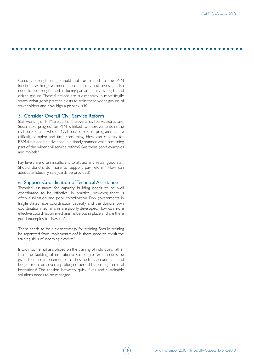Capacity strengthening should not be limited to the PFM functions within government: accountability and oversight also need to be strengthened, including parliamentary oversight and citizen groups. These functions are rudimentary in most fragile states. What good practice exists to train these wider groups of stakeholders and how high a priority is it?

## 5. Consider Overall Civil Service Reform

Staff working on PFM are part of the overall civil service structure. Sustainable progress on PFM is linked to improvements in the civil service as a whole. Civil service reform programmes are difficult, complex and time-consuming. How can capacity for PRM functions be advanced in a timely manner while remaining part of the wider civil service reform? Are there good examples and models?

Pay levels are often insufficient to attract and retain good staff. Should donors do more to support pay reform? How can adequate fiduciary safeguards be provided?

## 6. Support Coordination of Technical Assistance

Technical assistance for capacity building needs to be well coordinated to be effective. In practice, however, there is often duplication and poor coordination. Few governments in fragile states have coordination capacity, and the donors' own coordination mechanisms are poorly developed. How can more effective coordination mechanisms be put in place and are there good examples to draw on?

There needs to be a clear strategy for training. Should training be separated from implementation? Is there need to revisit the training skills of incoming experts?

Is too much emphasis placed on the training of individuals rather than the building of institutions? Could greater emphasis be given to the reinforcement of cadres, such as accountants and budget monitors, over a prolonged period by building up local institutions? The tension between quick fixes and sustainable solutions needs to be managed.

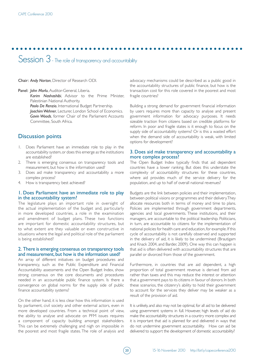Session 3 - The role of transparency and accountability

Chair: *Andy Norton*, Director of Research ODI.

Panel: *John Morlu*, Auditor-General, Liberia.

*Karim Nashashibi*, Advisor to the Prime Minister, Palestinian National Authority.

*Paolo De Renzio*, International Budget Partnership.

*Joachim Wehner*, Lecturer, London School of Economics. *Gavin Woods*, former Chair of the Parliament Accounts Committee, South Africa.

# Discussion points

- 1. Does Parliament have an immediate role to play in the accountability system, or does this emerge as the institutions are established?
- 2. There is emerging consensus on transparency tools and measurement, but how is the information used?
- 3. Does aid make transparency and accountability a more complex process?
- 4. How is transparency best achieved?

## 1. Does Parliament have an immediate role to play in the accountability system?

The legislature plays an important role in oversight of the actual implementation of the budget and, particularly in more developed countries, a role in the examination and amendment of budget plans. These two functions are important for domestic accountability structures, but to what extent are they valuable or even constructive in situations where the legal and political role of the parliament is being established?

## 2. There is emerging consensus on transparency tools and measurement, but how is the information used?

An array of different initiatives on budget procedures and transparency, such as the Public Expenditure and Financial Accountability assessments and the Open Budget Index, show strong consensus on the core documents and procedures needed in an accountable public finance system. Is there a convergence on global norms for the supply side of public finance accountability systems?

On the other hand, it is less clear how this information is used by parliament, civil society and other external actors, even in more developed countries. From a technical point of view, the ability to analyse and advocate on PFM issues requires a component of capacity building amongst stakeholders. This can be extremely challenging and nigh on impossible in the poorest and most fragile states. The role of analysis and

advocacy mechanisms could be described as a public good in the accountability structures of public finance, but how is the transaction cost for this role covered in the poorest and most fragile countries?

Building a strong demand for government financial information by users requires more than capacity to analyse and present government information for advocacy purposes. It needs sizeable traction from citizens based on credible platforms for reform. In poor and fragile states is it enough to focus on the supply side of accountability systems? Or is this a wasted effort when the demand side of accountability is weak, with limited options for development?

## 3. Does aid make transparency and accountability a more complex process?

The Open Budget Index typically finds that aid dependent countries have a lower ranking. But does this understate the complexity of accountability structures for these countries, where aid provides much of the service delivery for the population, and up to half of overall national revenues?

Budgets are the link between policies and their implementation, between political visions or programmes and their delivery. They allocate resources both in terms of money and time to plans. Policies are implemented through government departments, agencies and local governments. These institutions, and their managers, are accountable to the political leadership. Politicians, in turn, are accountable to citizens for the implementation of national policies for health care and education, for example. If this cycle of accountability is not carefully observed and supported in the delivery of aid, it is likely to be undermined (Brautigam and Knack 2004, and Barder, 2009). One way this can happen is that aid is often delivered with accountability structures that are parallel or divorced from those of the government.

Furthermore, in countries that are aid dependent, a high proportion of total government revenue is derived from aid rather than taxes and this may reduce the interest or attention that a government pays to its citizens in favour of donors. In both these scenarios, the citizenry's ability to hold their government to account for the services they deliver may be weaker as a result of the provision of aid.

It is unlikely, and also may not be optimal, for all aid to be delivered using government systems in full. However, high levels of aid do make the accountability structures in a country more complex and it is important that aid is planned for and delivered in ways that do not undermine government accountability. How can aid be delivered to support the development of domestic accountability?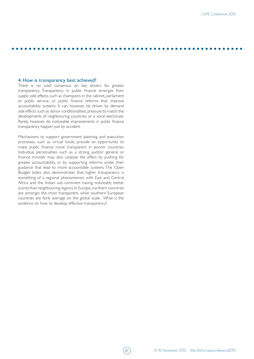## 4. How is transparency best achieved?

There is no solid consensus on key drivers for greater transparency. Transparency in public finance emerges from supply side effects, such as champions in the cabinet, parliament or public service, or public finance reforms that improve accountability systems. It can, however, be driven by demand side effects such as donor conditionalities, pressure to match the developments of neighbouring countries, or a vocal electorate. Rarely, however, do noticeable improvements in public finance transparency happen just by accident.

Mechanisms to support government planning and execution processes, such as virtual funds, provide an opportunity to make public finance more transparent in poorer countries. Individual personalities such as a strong auditor general or finance minister may also catalyse the effect by pushing for greater accountability, or by supporting reforms under their guidance that lead to more accountable systems. The Open Budget Index also demonstrates that higher transparency is something of a regional phenomenon, with East and Central Africa and the Indian sub continent having noticeably better scores than neighbouring regions. In Europe, northern countries are amongst the most transparent, while southern European countries are fairly average on the global scale. What is the evidence on how to develop effective transparency?

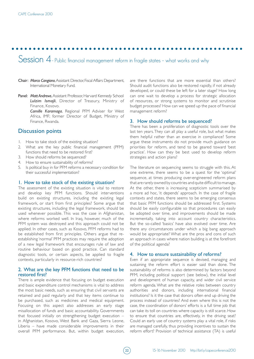Session 4 - Public financial management reform in fragile states - what works and why

- Chair: *Marco Cangiano*, Assistant Director, Fiscal Affairs Department, International Monetary Fund.
- Panel: *Matt Andrews*, Assistant Professor, Harvard Kennedy School *Lulzim Ismajli*, Director of Treasury, Ministry of Finance, Kosovo.

*Camille Karamaga*, Regional PFM Adviser for West Africa, IMF; former Director of Budget, Ministry of Finance, Rwanda.

# Discussion points

- 1. How to take stock of the existing situation?
- 2. What are the key public financial management (PFM) functions that need to be restored first?
- 3. How should reforms be sequenced?
- 4. How to ensure sustainability of reforms?
- 5. Is political buy in for PFM reforms a necessary condition for their successful implementation?

## 1. How to take stock of the existing situation?

The assessment of the existing situation is vital to restore and develop key PFM functions. Should interventions build on existing structures, including the existing legal framework, or start from first principles? Some argue that existing structures, including the legal framework, should be used whenever possible. This was the case in Afghanistan, where reforms worked well. In Iraq, however, much of the PFM system was destroyed and this approach could not be applied. In other cases, such as Kosovo, PFM reforms had to be established from first principles. Others argue that reestablishing 'normal' PFM practices may require the adoption of a new legal framework that encourages rule of law and routine behaviour based on good practice. Can standard diagnostic tools, or certain aspects, be applied to fragile contexts, particularly in resource-rich countries?

# 2. What are the key PFM functions that need to be restored first?

There is ample evidence that focusing on budget execution and basic expenditure control mechanisms is vital to address the most basic needs, such as ensuring that civil servants are retained and paid regularly and that key items continue to be purchased, such as medicines and medical equipment. Focusing on this aspect also addresses an early stage misallocation of funds and basic accountability. Governments that focused initially on strengthening budget execution – in Afghanistan, Kosovo, West Bank and Gaza, Sierra Leone, Liberia – have made considerable improvements in their overall PFM performance. But, within budget execution, are there functions that are more essential than others? Should audit functions also be restored rapidly, if not already developed, or could these be left for a later stage? How long can one wait to develop a process for strategic allocation of resources, or strong systems to monitor and scrutinise budget processes? How can we speed up the pace of financial management reform?

# 3. How should reforms be sequenced?

There has been a proliferation of diagnostic tools over the last ten years. They can all play a useful role, but what makes them helpful rather than an exercise in compliance? Some argue these instruments do not provide much guidance on priorities for reform, and tend to be geared toward 'best practice'. How can they be best used to develop reform strategies and action plans?

The literature on sequencing seems to struggle with this. At one extreme, there seems to be a quest for the 'optimal' sequence, at times producing over-engineered reform plans that are rarely owned by countries and quite difficult to manage. At the other, there is increasing scepticism summarised by a more ad hoc, 'it depends' approach. In the case of fragile contexts and states, there seems to be emerging consensus that basic PFM functions should be addressed first. Systems should be easily configurable so that procedures can easily be adopted over time, and improvements should be made incrementally, taking into account country characteristics. But the so-called 'basics' have also evolved over time. Are there any circumstances under which a big bang approach would be appropriate? What are the pros and cons of such an approach in cases where nation building is at the forefront of the political agenda?

# 4. How to ensure sustainability of reforms?

Even if an appropriate sequence is devised, managing and sustaining the reform effort is easier said than done. The sustainability of reforms is also determined by factors beyond PFM, including political support (see below), the initial level and development of human capacity, and wider civil service reform agenda. What are the relative roles between country authorities and donors, including international financial institutions? Is it the case that donors often end up driving the process instead of countries? And even where this is not the case, the coordination of donors' efforts is a full time job that can take its toll on countries where capacity is still scarce. How to ensure that countries are, effectively, in the driving seat? Could an early use of country systems play a vital role, if risks are managed carefully, thus providing incentives to sustain the reform effort? Provision of technical assistance (TA) is useful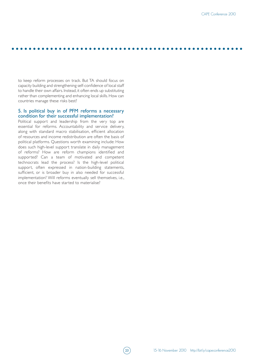to keep reform processes on track. But TA should focus on capacity building and strengthening self-confidence of local staff to handle their own affairs. Instead, it often ends up substituting rather than complementing and enhancing local skills. How can countries manage these risks best?

# 5. Is political buy in of PFM reforms a necessary condition for their successful implementation?

Political support and leadership from the very top are essential for reforms. Accountability and service delivery, along with standard macro stabilisation, efficient allocation of resources and income redistribution are often the basis of political platforms. Questions worth examining include: How does such high-level support translate in daily management of reforms? How are reform champions identified and supported? Can a team of motivated and competent technocrats lead the process? Is the high-level political support, often expressed in nation-building statements, sufficient, or is broader buy in also needed for successful implementation? Will reforms eventually sell themselves, i.e., once their benefits have started to materialise?

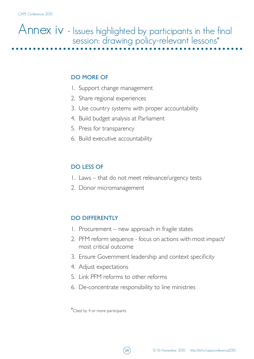# Annex iv - Issues highlighted by participants in the final session: drawing policy-relevant lessons\*

# DO MORE OF

- 1. Support change management
- 2. Share regional experiences
- 3. Use country systems with proper accountability
- 4. Build budget analysis at Parliament
- 5. Press for transparency
- 6. Build executive accountability

# DO LESS OF

- 1. Laws that do not meet relevance/urgency tests
- 2. Donor micromanagement

# DO DIFFERENTLY

- 1. Procurement new approach in fragile states
- 2. PFM reform sequence focus on actions with most impact/ most critical outcome
- 3. Ensure Government leadership and context specificity
- 4. Adjust expectations
- 5. Link PFM reforms to other reforms
- 6. De-concentrate responsibility to line ministries

\*Cited by 4 or more participants

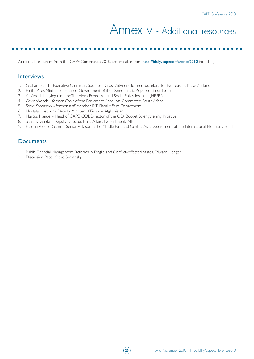# Annex v - Additional resources

Additional resources from the CAPE Conference 2010, are available from http://bit.ly/capeconference2010 including:

# **Interviews**

- 1. Graham Scott Executive Chairman, Southern Cross Advisers; former Secretary to the Treasury, New Zealand
- 2. Emilia Pires Minister of Finance, Government of the Demoncratic Republic Timor-Leste
- 3. Ali Abdi Managing director, The Horn Economic and Social Policy Institute (HESPI)
- 4. Gavin Woods former Chair of the Parliament Accounts Committee, South Africa
- 5. Steve Symansky former staff member IMF Fiscal Affairs Department
- 6. Mustafa Mastoor Deputy Minister of Finance, Afghanistan
- 7. Marcus Manuel Head of CAPE, ODI; Director of the ODI Budget Strengthening Initiative
- 8. Sanjeev Gupta Deputy Director, Fiscal Affairs Department, IMF
- 9. Patricia Alonso-Gamo Senior Advisor in the Middle East and Central Asia Department of the International Monetary Fund

# **Documents**

- 1. Public Financial Management Reforms in Fragile and Conflict-Affected States, Edward Hedger
- 2. Discussion Paper, Steve Symansky